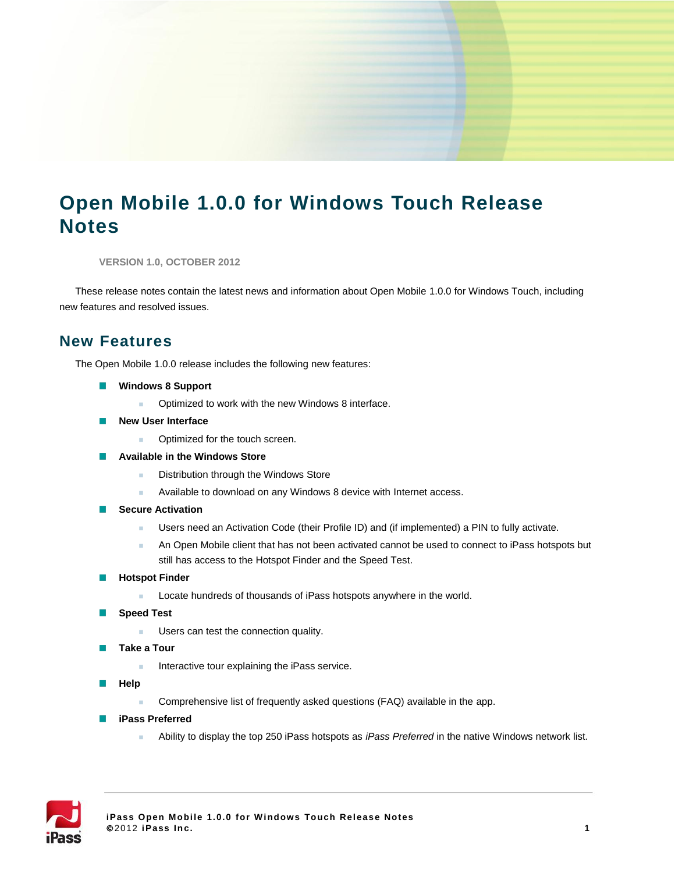# **Open Mobile 1.0.0 for Windows Touch Release Notes**

**VERSION 1.0, OCTOBER 2012**

These release notes contain the latest news and information about Open Mobile 1.0.0 for Windows Touch, including new features and resolved issues.

### **New Features**

The Open Mobile 1.0.0 release includes the following new features:

- **Windows 8 Support**
	- **Department Optimized to work with the new Windows 8 interface.**
- **New User Interface**
	- Optimized for the touch screen.
- **Available in the Windows Store** m.
	- **Distribution through the Windows Store**
	- **Available to download on any Windows 8 device with Internet access.**
- **Secure Activation**
	- Users need an Activation Code (their Profile ID) and (if implemented) a PIN to fully activate.
	- An Open Mobile client that has not been activated cannot be used to connect to iPass hotspots but still has access to the Hotspot Finder and the Speed Test.
- **Hotspot Finder** п
	- **Locate hundreds of thousands of iPass hotspots anywhere in the world.**
- **Speed Test College** 
	- **Users can test the connection quality.**
- **Take a Tour Tale** 
	- Interactive tour explaining the iPass service.
- **Help**
	- Comprehensive list of frequently asked questions (FAQ) available in the app.
- **iPass Preferred**
	- Ability to display the top 250 iPass hotspots as *iPass Preferred* in the native Windows network list.